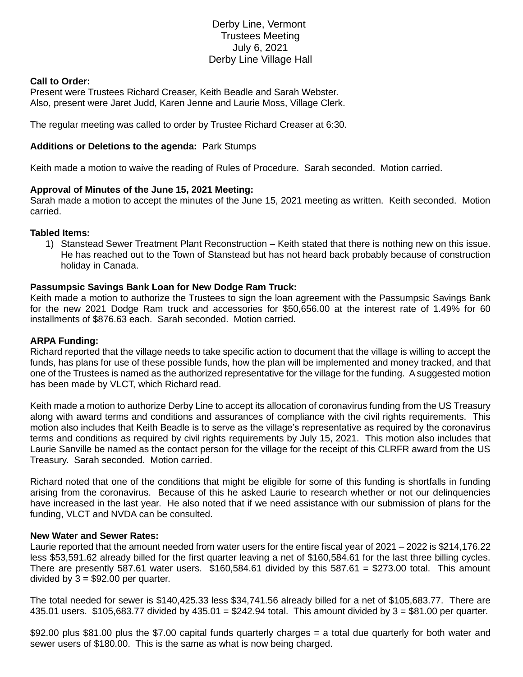# Derby Line, Vermont Trustees Meeting July 6, 2021 Derby Line Village Hall

# **Call to Order:**

Present were Trustees Richard Creaser, Keith Beadle and Sarah Webster. Also, present were Jaret Judd, Karen Jenne and Laurie Moss, Village Clerk.

The regular meeting was called to order by Trustee Richard Creaser at 6:30.

### **Additions or Deletions to the agenda:** Park Stumps

Keith made a motion to waive the reading of Rules of Procedure. Sarah seconded. Motion carried.

# **Approval of Minutes of the June 15, 2021 Meeting:**

Sarah made a motion to accept the minutes of the June 15, 2021 meeting as written. Keith seconded. Motion carried.

# **Tabled Items:**

1) Stanstead Sewer Treatment Plant Reconstruction – Keith stated that there is nothing new on this issue. He has reached out to the Town of Stanstead but has not heard back probably because of construction holiday in Canada.

# **Passumpsic Savings Bank Loan for New Dodge Ram Truck:**

Keith made a motion to authorize the Trustees to sign the loan agreement with the Passumpsic Savings Bank for the new 2021 Dodge Ram truck and accessories for \$50,656.00 at the interest rate of 1.49% for 60 installments of \$876.63 each. Sarah seconded. Motion carried.

#### **ARPA Funding:**

Richard reported that the village needs to take specific action to document that the village is willing to accept the funds, has plans for use of these possible funds, how the plan will be implemented and money tracked, and that one of the Trustees is named as the authorized representative for the village for the funding. A suggested motion has been made by VLCT, which Richard read.

Keith made a motion to authorize Derby Line to accept its allocation of coronavirus funding from the US Treasury along with award terms and conditions and assurances of compliance with the civil rights requirements. This motion also includes that Keith Beadle is to serve as the village's representative as required by the coronavirus terms and conditions as required by civil rights requirements by July 15, 2021. This motion also includes that Laurie Sanville be named as the contact person for the village for the receipt of this CLRFR award from the US Treasury. Sarah seconded. Motion carried.

Richard noted that one of the conditions that might be eligible for some of this funding is shortfalls in funding arising from the coronavirus. Because of this he asked Laurie to research whether or not our delinquencies have increased in the last year. He also noted that if we need assistance with our submission of plans for the funding, VLCT and NVDA can be consulted.

#### **New Water and Sewer Rates:**

Laurie reported that the amount needed from water users for the entire fiscal year of 2021 – 2022 is \$214,176.22 less \$53,591.62 already billed for the first quarter leaving a net of \$160,584.61 for the last three billing cycles. There are presently 587.61 water users. \$160,584.61 divided by this 587.61 = \$273.00 total. This amount divided by  $3 = $92.00$  per quarter.

The total needed for sewer is \$140,425.33 less \$34,741.56 already billed for a net of \$105,683.77. There are 435.01 users.  $$105,683.77$  divided by 435.01 =  $$242.94$  total. This amount divided by 3 =  $$81.00$  per quarter.

\$92.00 plus \$81.00 plus the \$7.00 capital funds quarterly charges = a total due quarterly for both water and sewer users of \$180.00. This is the same as what is now being charged.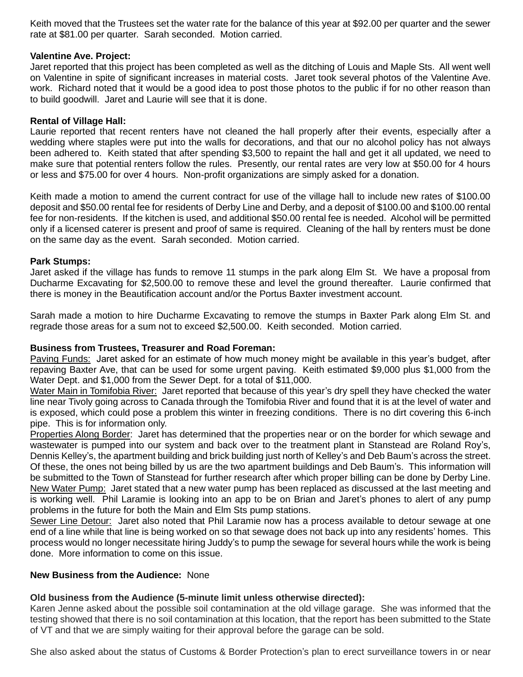Keith moved that the Trustees set the water rate for the balance of this year at \$92.00 per quarter and the sewer rate at \$81.00 per quarter. Sarah seconded. Motion carried.

# **Valentine Ave. Project:**

Jaret reported that this project has been completed as well as the ditching of Louis and Maple Sts. All went well on Valentine in spite of significant increases in material costs. Jaret took several photos of the Valentine Ave. work. Richard noted that it would be a good idea to post those photos to the public if for no other reason than to build goodwill. Jaret and Laurie will see that it is done.

# **Rental of Village Hall:**

Laurie reported that recent renters have not cleaned the hall properly after their events, especially after a wedding where staples were put into the walls for decorations, and that our no alcohol policy has not always been adhered to. Keith stated that after spending \$3,500 to repaint the hall and get it all updated, we need to make sure that potential renters follow the rules. Presently, our rental rates are very low at \$50.00 for 4 hours or less and \$75.00 for over 4 hours. Non-profit organizations are simply asked for a donation.

Keith made a motion to amend the current contract for use of the village hall to include new rates of \$100.00 deposit and \$50.00 rental fee for residents of Derby Line and Derby, and a deposit of \$100.00 and \$100.00 rental fee for non-residents. If the kitchen is used, and additional \$50.00 rental fee is needed. Alcohol will be permitted only if a licensed caterer is present and proof of same is required. Cleaning of the hall by renters must be done on the same day as the event. Sarah seconded. Motion carried.

# **Park Stumps:**

Jaret asked if the village has funds to remove 11 stumps in the park along Elm St. We have a proposal from Ducharme Excavating for \$2,500.00 to remove these and level the ground thereafter. Laurie confirmed that there is money in the Beautification account and/or the Portus Baxter investment account.

Sarah made a motion to hire Ducharme Excavating to remove the stumps in Baxter Park along Elm St. and regrade those areas for a sum not to exceed \$2,500.00. Keith seconded. Motion carried.

# **Business from Trustees, Treasurer and Road Foreman:**

Paving Funds: Jaret asked for an estimate of how much money might be available in this year's budget, after repaving Baxter Ave, that can be used for some urgent paving. Keith estimated \$9,000 plus \$1,000 from the Water Dept. and \$1,000 from the Sewer Dept. for a total of \$11,000.

Water Main in Tomifobia River: Jaret reported that because of this year's dry spell they have checked the water line near Tivoly going across to Canada through the Tomifobia River and found that it is at the level of water and is exposed, which could pose a problem this winter in freezing conditions. There is no dirt covering this 6-inch pipe. This is for information only.

Properties Along Border: Jaret has determined that the properties near or on the border for which sewage and wastewater is pumped into our system and back over to the treatment plant in Stanstead are Roland Roy's, Dennis Kelley's, the apartment building and brick building just north of Kelley's and Deb Baum's across the street. Of these, the ones not being billed by us are the two apartment buildings and Deb Baum's. This information will be submitted to the Town of Stanstead for further research after which proper billing can be done by Derby Line. New Water Pump: Jaret stated that a new water pump has been replaced as discussed at the last meeting and is working well. Phil Laramie is looking into an app to be on Brian and Jaret's phones to alert of any pump problems in the future for both the Main and Elm Sts pump stations.

Sewer Line Detour: Jaret also noted that Phil Laramie now has a process available to detour sewage at one end of a line while that line is being worked on so that sewage does not back up into any residents' homes. This process would no longer necessitate hiring Juddy's to pump the sewage for several hours while the work is being done. More information to come on this issue.

# **New Business from the Audience:** None

# **Old business from the Audience (5-minute limit unless otherwise directed):**

Karen Jenne asked about the possible soil contamination at the old village garage. She was informed that the testing showed that there is no soil contamination at this location, that the report has been submitted to the State of VT and that we are simply waiting for their approval before the garage can be sold.

She also asked about the status of Customs & Border Protection's plan to erect surveillance towers in or near